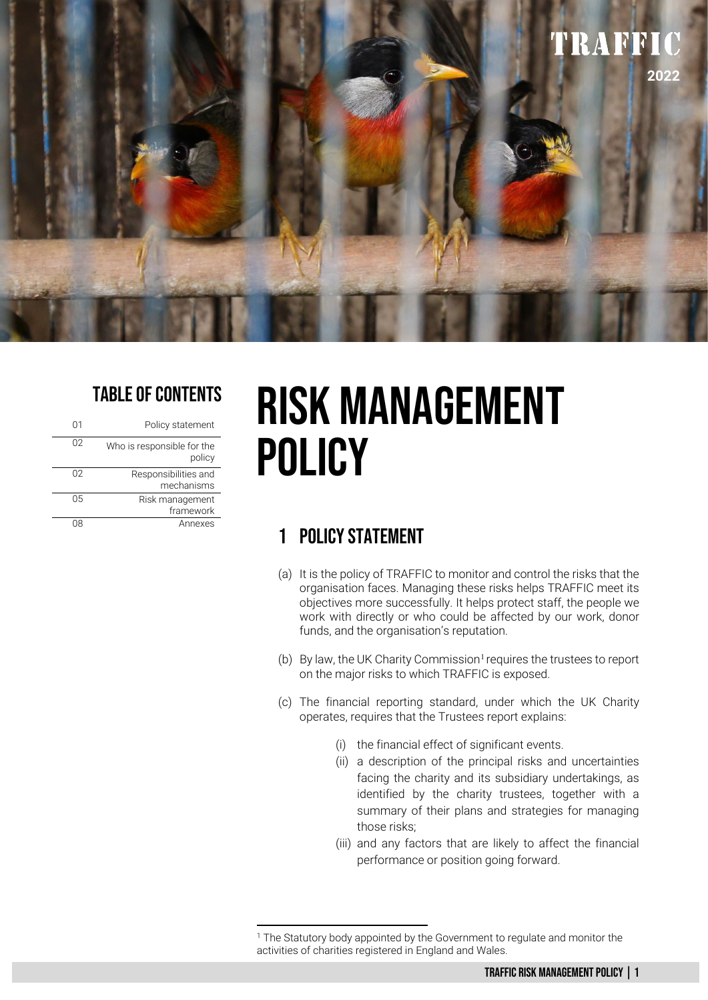

## TABLE OF CONTENTS

| 01 | Policy statement                     |
|----|--------------------------------------|
| 02 | Who is responsible for the<br>policy |
| 02 | Responsibilities and<br>mechanisms   |
| 05 | Risk management<br>framework         |
|    | Annexes                              |

# RISK MANAGEMENT POLICY

## 1 POLICY STATEMENT

- (a) It is the policy of TRAFFIC to monitor and control the risks that the organisation faces. Managing these risks helps TRAFFIC meet its objectives more successfully. It helps protect staff, the people we work with directly or who could be affected by our work, donor funds, and the organisation's reputation.
- (b) By law, the UK Charity Commission<sup>[1](#page-0-0)</sup> requires the trustees to report on the major risks to which TRAFFIC is exposed.
- (c) The financial reporting standard, under which the UK Charity operates, requires that the Trustees report explains:
	- (i) the financial effect of significant events.
	- (ii) a description of the principal risks and uncertainties facing the charity and its subsidiary undertakings, as identified by the charity trustees, together with a summary of their plans and strategies for managing those risks;
	- (iii) and any factors that are likely to affect the financial performance or position going forward.

<span id="page-0-0"></span><sup>&</sup>lt;sup>1</sup> The Statutory body appointed by the Government to regulate and monitor the activities of charities registered in England and Wales.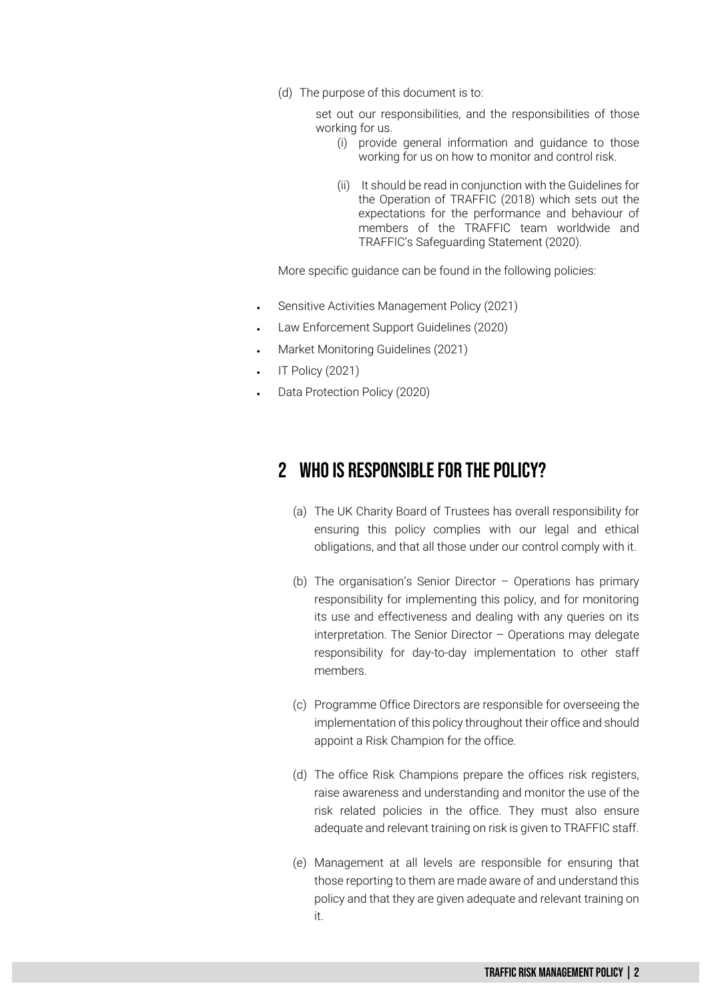(d) The purpose of this document is to:

set out our responsibilities, and the responsibilities of those working for us.

- (i) provide general information and guidance to those working for us on how to monitor and control risk.
- (ii) It should be read in conjunction with the Guidelines for the Operation of TRAFFIC (2018) which sets out the expectations for the performance and behaviour of members of the TRAFFIC team worldwide and TRAFFIC's Safeguarding Statement (2020).

More specific guidance can be found in the following policies:

- Sensitive Activities Management Policy (2021)
- Law Enforcement Support Guidelines (2020)
- Market Monitoring Guidelines (2021)
- IT Policy (2021)
- Data Protection Policy (2020)

### 2 Who Is Responsible For The POLICY?

- (a) The UK Charity Board of Trustees has overall responsibility for ensuring this policy complies with our legal and ethical obligations, and that all those under our control comply with it.
- (b) The organisation's Senior Director Operations has primary responsibility for implementing this policy, and for monitoring its use and effectiveness and dealing with any queries on its interpretation. The Senior Director – Operations may delegate responsibility for day-to-day implementation to other staff members.
- (c) Programme Office Directors are responsible for overseeing the implementation of this policy throughout their office and should appoint a Risk Champion for the office.
- (d) The office Risk Champions prepare the offices risk registers, raise awareness and understanding and monitor the use of the risk related policies in the office. They must also ensure adequate and relevant training on risk is given to TRAFFIC staff.
- (e) Management at all levels are responsible for ensuring that those reporting to them are made aware of and understand this policy and that they are given adequate and relevant training on it.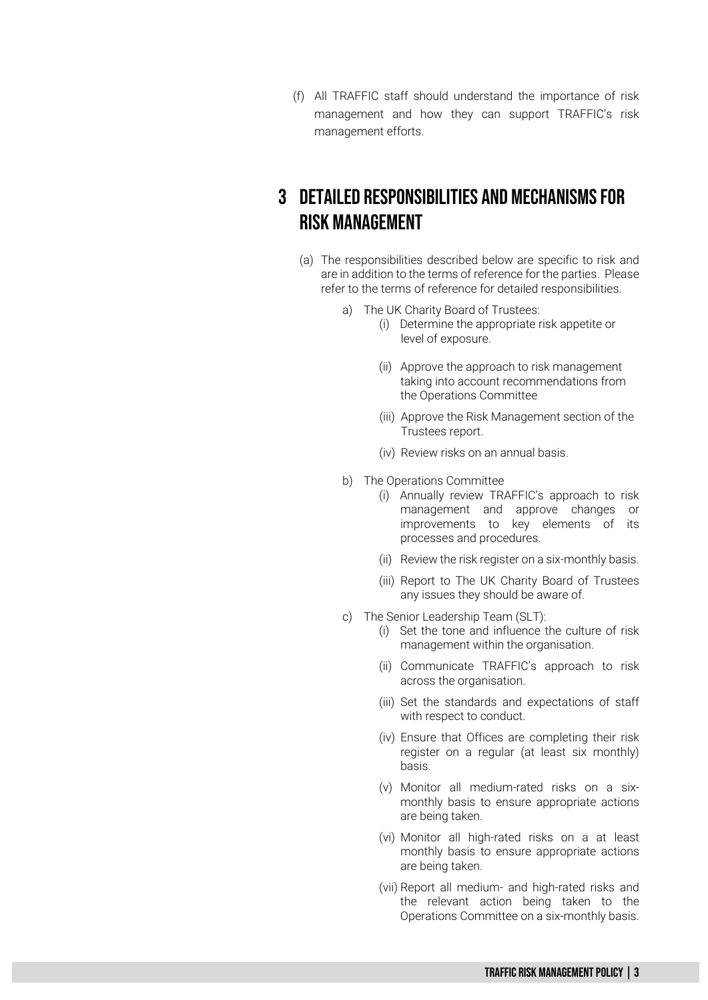(f) All TRAFFIC staff should understand the importance of risk management and how they can support TRAFFIC's risk management efforts.

### 3 DETAILED RESPONSIBILITIES AND MECHANISMS FOR RISK MANAGEMENT

- (a) The responsibilities described below are specific to risk and are in addition to the terms of reference for the parties. Please refer to the terms of reference for detailed responsibilities.
	- a) The UK Charity Board of Trustees:
		- (i) Determine the appropriate risk appetite or level of exposure.
		- (ii) Approve the approach to risk management taking into account recommendations from the Operations Committee
		- (iii) Approve the Risk Management section of the Trustees report.
		- (iv) Review risks on an annual basis.
	- b) The Operations Committee
		- (i) Annually review TRAFFIC's approach to risk management and approve changes or improvements to key elements of its processes and procedures.
		- (ii) Review the risk register on a six-monthly basis.
		- (iii) Report to The UK Charity Board of Trustees any issues they should be aware of.
	- c) The Senior Leadership Team (SLT):
		- (i) Set the tone and influence the culture of risk management within the organisation.
		- (ii) Communicate TRAFFIC's approach to risk across the organisation.
		- (iii) Set the standards and expectations of staff with respect to conduct.
		- (iv) Ensure that Offices are completing their risk register on a regular (at least six monthly) basis.
		- (v) Monitor all medium-rated risks on a sixmonthly basis to ensure appropriate actions are being taken.
		- (vi) Monitor all high-rated risks on a at least monthly basis to ensure appropriate actions are being taken.
		- (vii) Report all medium- and high-rated risks and the relevant action being taken to the Operations Committee on a six-monthly basis.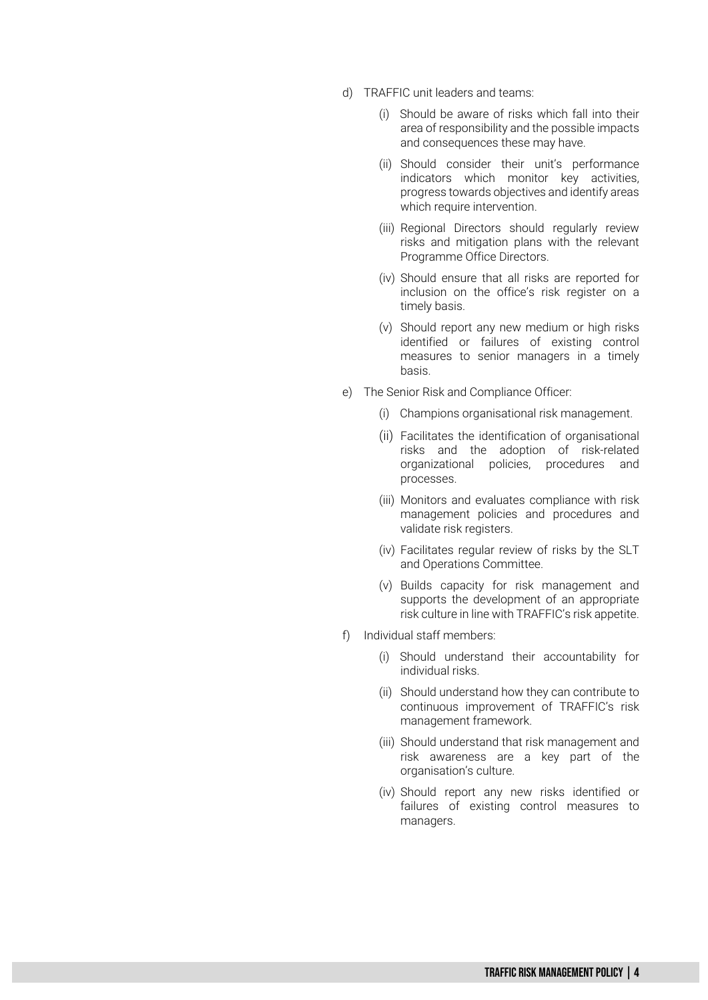- d) TRAFFIC unit leaders and teams:
	- (i) Should be aware of risks which fall into their area of responsibility and the possible impacts and consequences these may have.
	- (ii) Should consider their unit's performance indicators which monitor key activities, progress towards objectives and identify areas which require intervention.
	- (iii) Regional Directors should regularly review risks and mitigation plans with the relevant Programme Office Directors.
	- (iv) Should ensure that all risks are reported for inclusion on the office's risk register on a timely basis.
	- (v) Should report any new medium or high risks identified or failures of existing control measures to senior managers in a timely basis.
- e) The Senior Risk and Compliance Officer:
	- (i) Champions organisational risk management.
	- (ii) Facilitates the identification of organisational risks and the adoption of risk-related organizational policies, procedures and processes.
	- (iii) Monitors and evaluates compliance with risk management policies and procedures and validate risk registers.
	- (iv) Facilitates regular review of risks by the SLT and Operations Committee.
	- (v) Builds capacity for risk management and supports the development of an appropriate risk culture in line with TRAFFIC's risk appetite.
- f) Individual staff members:
	- (i) Should understand their accountability for individual risks.
	- (ii) Should understand how they can contribute to continuous improvement of TRAFFIC's risk management framework.
	- (iii) Should understand that risk management and risk awareness are a key part of the organisation's culture.
	- (iv) Should report any new risks identified or failures of existing control measures to managers.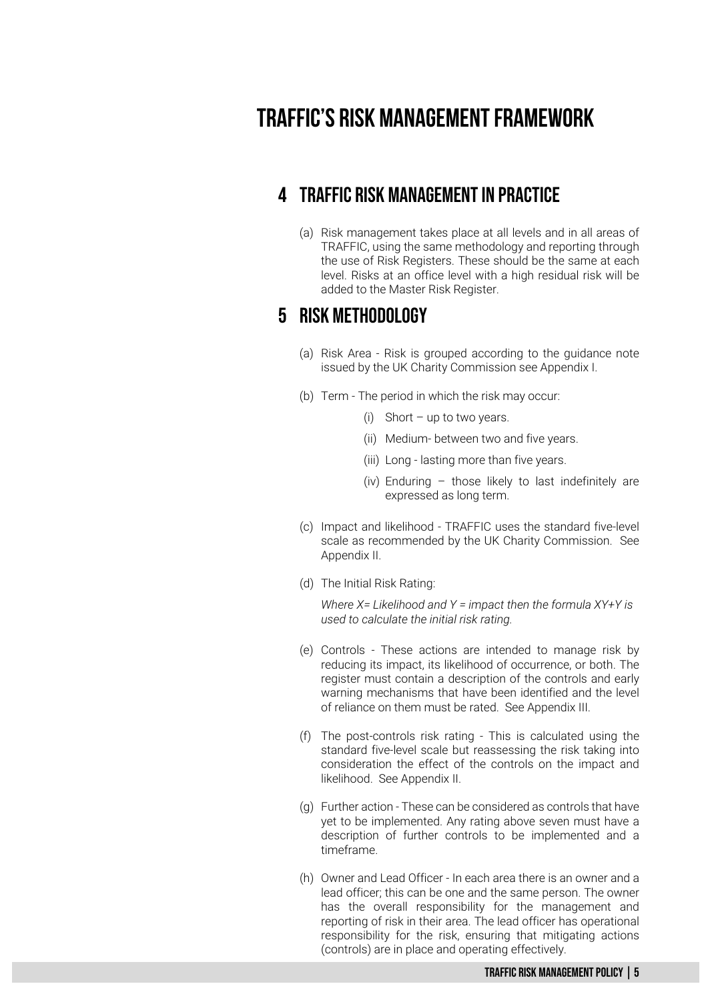# **TRAFFIC's Risk Management Framework**

### 4 TRAFFIC RISK MANAGEMENTIn Practice

(a) Risk management takes place at all levels and in all areas of TRAFFIC, using the same methodology and reporting through the use of Risk Registers. These should be the same at each level. Risks at an office level with a high residual risk will be added to the Master Risk Register.

### 5 RISK Methodology

- (a) Risk Area Risk is grouped according to the guidance note issued by the UK Charity Commission see Appendix I.
- (b) Term The period in which the risk may occur:
	- (i) Short up to two years.
	- (ii) Medium- between two and five years.
	- (iii) Long lasting more than five years.
	- (iv) Enduring those likely to last indefinitely are expressed as long term.
- (c) Impact and likelihood TRAFFIC uses the standard five-level scale as recommended by the UK Charity Commission. See Appendix II.
- (d) The Initial Risk Rating:

*Where X= Likelihood and Y = impact then the formula XY+Y is used to calculate the initial risk rating.*

- (e) Controls These actions are intended to manage risk by reducing its impact, its likelihood of occurrence, or both. The register must contain a description of the controls and early warning mechanisms that have been identified and the level of reliance on them must be rated. See Appendix III.
- (f) The post-controls risk rating This is calculated using the standard five-level scale but reassessing the risk taking into consideration the effect of the controls on the impact and likelihood. See Appendix II.
- (g) Further action These can be considered as controls that have yet to be implemented. Any rating above seven must have a description of further controls to be implemented and a timeframe.
- (h) Owner and Lead Officer In each area there is an owner and a lead officer; this can be one and the same person. The owner has the overall responsibility for the management and reporting of risk in their area. The lead officer has operational responsibility for the risk, ensuring that mitigating actions (controls) are in place and operating effectively.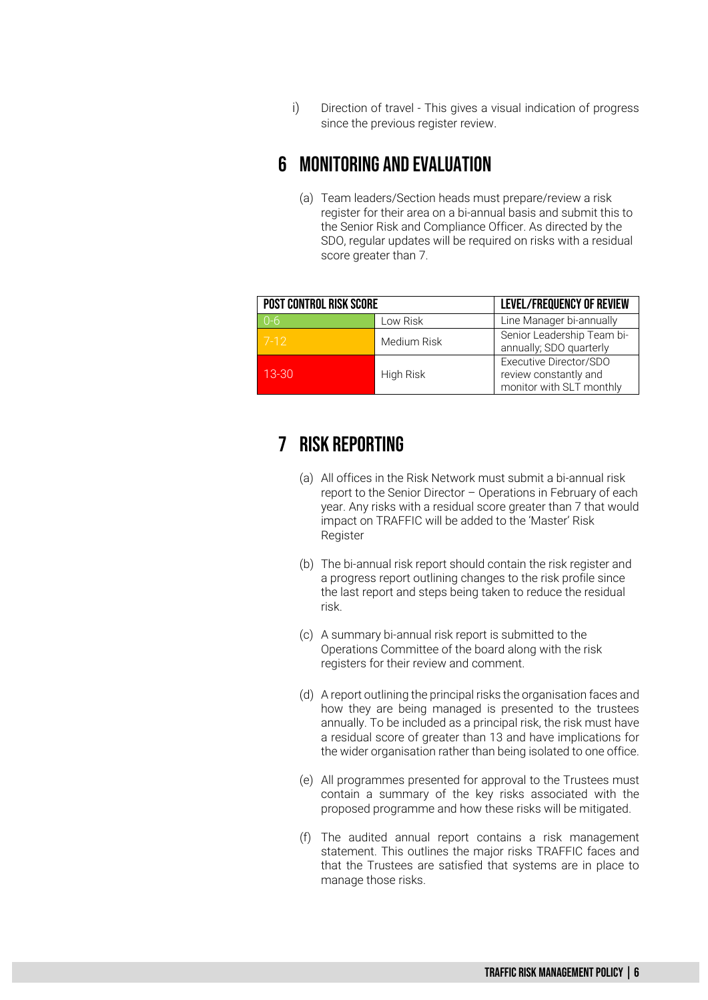i) Direction of travel - This gives a visual indication of progress since the previous register review.

### 6 Monitoring And Evaluation

(a) Team leaders/Section heads must prepare/review a risk register for their area on a bi-annual basis and submit this to the Senior Risk and Compliance Officer. As directed by the SDO, regular updates will be required on risks with a residual score greater than 7.

| <b>POST CONTROL RISK SCORE</b> |             | LEVEL/FREQUENCY OF REVIEW                                                   |
|--------------------------------|-------------|-----------------------------------------------------------------------------|
| $0 - 6$                        | Low Risk    | Line Manager bi-annually                                                    |
| $7-12$                         | Medium Risk | Senior Leadership Team bi-<br>annually; SDO quarterly                       |
| $13 - 30$                      | High Risk   | Executive Director/SDO<br>review constantly and<br>monitor with SLT monthly |

### 7 Risk Reporting

- (a) All offices in the Risk Network must submit a bi-annual risk report to the Senior Director – Operations in February of each year. Any risks with a residual score greater than 7 that would impact on TRAFFIC will be added to the 'Master' Risk Register
- (b) The bi-annual risk report should contain the risk register and a progress report outlining changes to the risk profile since the last report and steps being taken to reduce the residual risk.
- (c) A summary bi-annual risk report is submitted to the Operations Committee of the board along with the risk registers for their review and comment.
- (d) A report outlining the principal risks the organisation faces and how they are being managed is presented to the trustees annually. To be included as a principal risk, the risk must have a residual score of greater than 13 and have implications for the wider organisation rather than being isolated to one office.
- (e) All programmes presented for approval to the Trustees must contain a summary of the key risks associated with the proposed programme and how these risks will be mitigated.
- (f) The audited annual report contains a risk management statement. This outlines the major risks TRAFFIC faces and that the Trustees are satisfied that systems are in place to manage those risks.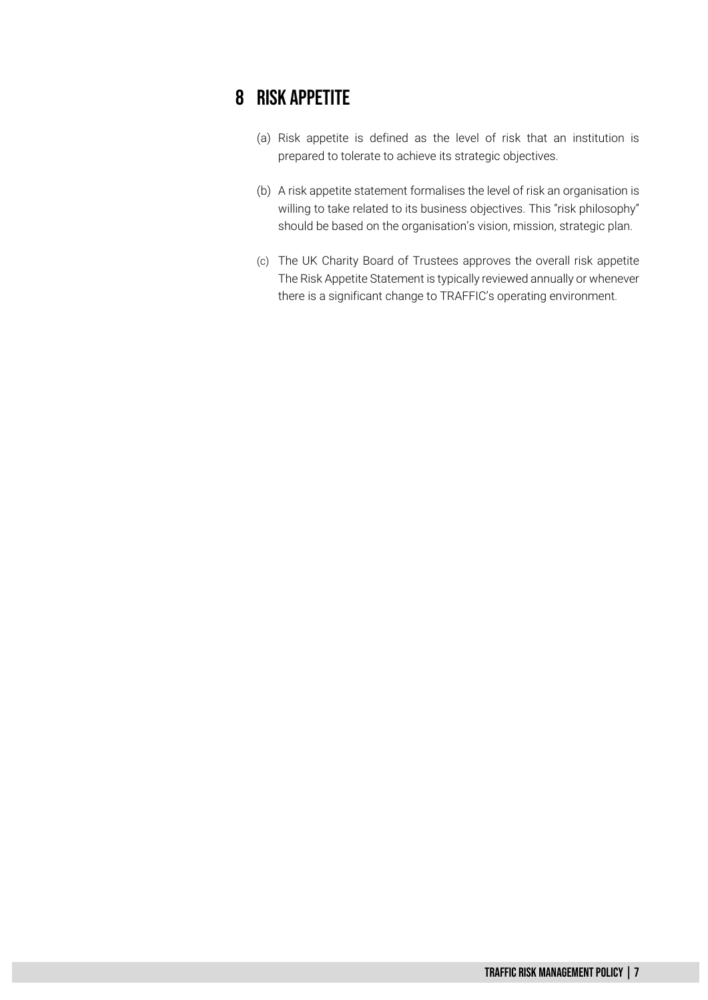### 8 Risk appetite

- (a) Risk appetite is defined as the level of risk that an institution is prepared to tolerate to achieve its strategic objectives.
- (b) A risk appetite statement formalises the level of risk an organisation is willing to take related to its business objectives. This "risk philosophy" should be based on the organisation's vision, mission, strategic plan.
- (c) The UK Charity Board of Trustees approves the overall risk appetite The Risk Appetite Statement is typically reviewed annually or whenever there is a significant change to TRAFFIC's operating environment.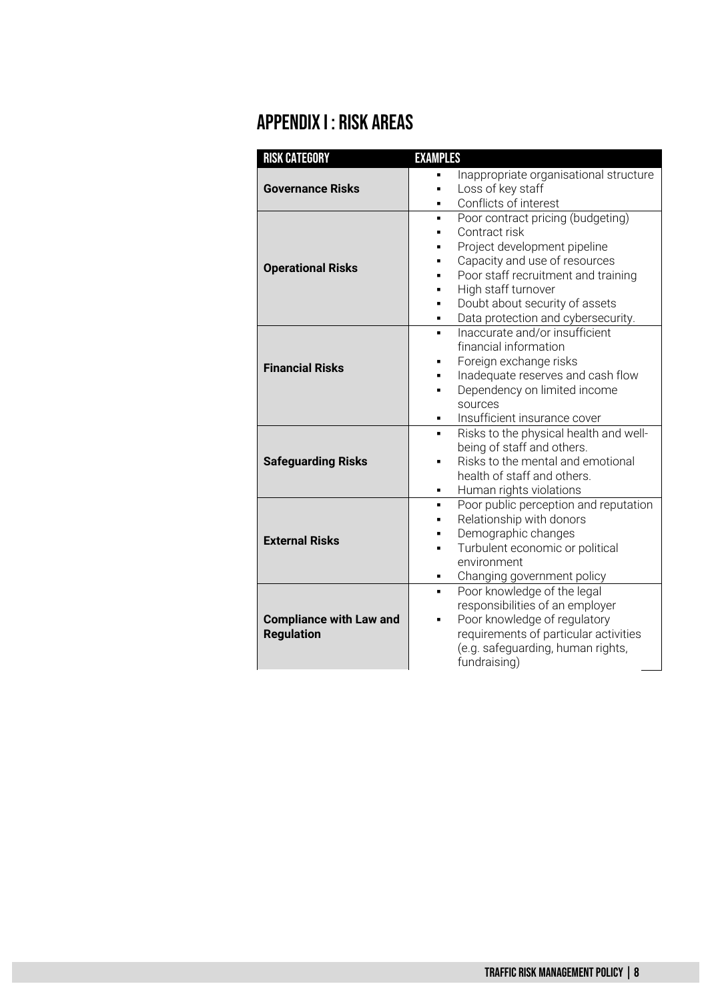# Appendix I : Risk Areas

| <b>RISK CATEGORY</b>           | <b>EXAMPLES</b>                                                      |  |  |
|--------------------------------|----------------------------------------------------------------------|--|--|
|                                | Inappropriate organisational structure                               |  |  |
| <b>Governance Risks</b>        | Loss of key staff                                                    |  |  |
|                                | Conflicts of interest                                                |  |  |
|                                | Poor contract pricing (budgeting)<br>$\blacksquare$                  |  |  |
|                                | Contract risk                                                        |  |  |
|                                | Project development pipeline                                         |  |  |
| <b>Operational Risks</b>       | Capacity and use of resources                                        |  |  |
|                                | Poor staff recruitment and training                                  |  |  |
|                                | High staff turnover                                                  |  |  |
|                                | Doubt about security of assets                                       |  |  |
|                                | Data protection and cybersecurity.<br>٠                              |  |  |
|                                | Inaccurate and/or insufficient<br>$\blacksquare$                     |  |  |
|                                | financial information                                                |  |  |
| <b>Financial Risks</b>         | Foreign exchange risks                                               |  |  |
|                                | Inadequate reserves and cash flow                                    |  |  |
|                                | Dependency on limited income                                         |  |  |
|                                | sources                                                              |  |  |
|                                | Insufficient insurance cover                                         |  |  |
|                                | Risks to the physical health and well-                               |  |  |
|                                | being of staff and others.                                           |  |  |
| <b>Safeguarding Risks</b>      | Risks to the mental and emotional                                    |  |  |
|                                | health of staff and others.                                          |  |  |
|                                | Human rights violations                                              |  |  |
|                                | Poor public perception and reputation<br>٠                           |  |  |
|                                | Relationship with donors<br>п                                        |  |  |
| <b>External Risks</b>          | Demographic changes                                                  |  |  |
|                                | Turbulent economic or political<br>п                                 |  |  |
|                                | environment                                                          |  |  |
|                                | Changing government policy                                           |  |  |
|                                | Poor knowledge of the legal<br>٠                                     |  |  |
|                                | responsibilities of an employer<br>Poor knowledge of regulatory<br>٠ |  |  |
| <b>Compliance with Law and</b> |                                                                      |  |  |
| <b>Regulation</b>              | requirements of particular activities                                |  |  |
|                                | (e.g. safeguarding, human rights,                                    |  |  |
|                                | fundraising)                                                         |  |  |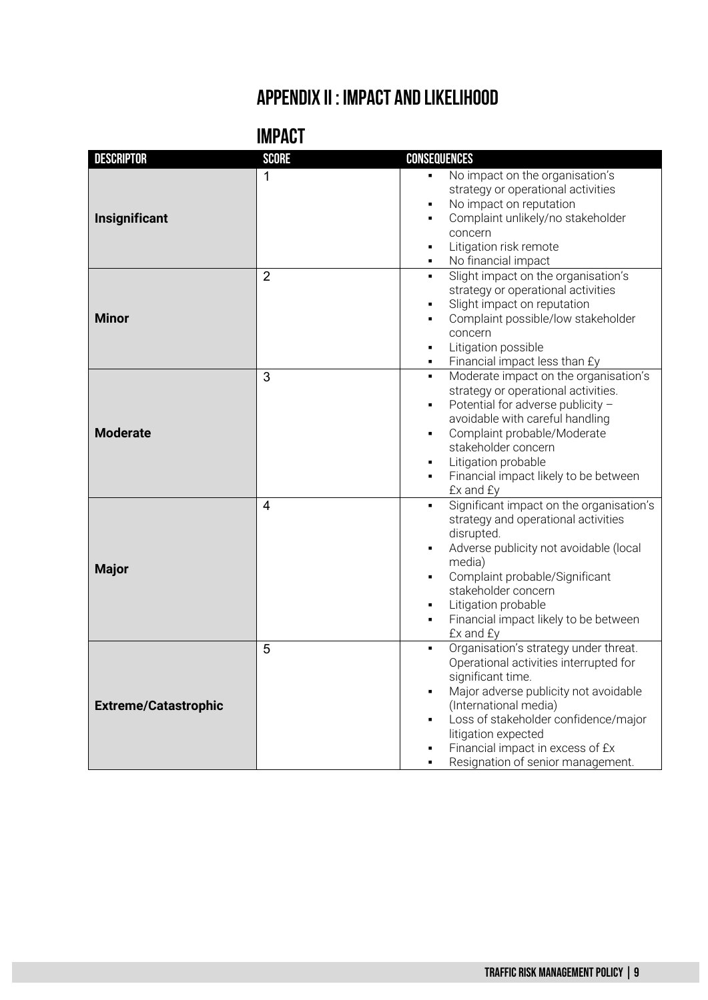# **Appendix II : Impact and Likelihood**

| <b>IMPACT</b> |  |
|---------------|--|
|               |  |
|               |  |

| <b>DESCRIPTOR</b>           | <b>SCORE</b>   | <b>CONSEQUENCES</b>                                                                                                                                                                                                                                                                                                                                                  |
|-----------------------------|----------------|----------------------------------------------------------------------------------------------------------------------------------------------------------------------------------------------------------------------------------------------------------------------------------------------------------------------------------------------------------------------|
| Insignificant               | 1              | No impact on the organisation's<br>strategy or operational activities<br>No impact on reputation<br>Ξ<br>Complaint unlikely/no stakeholder<br>$\blacksquare$<br>concern<br>Litigation risk remote<br>$\blacksquare$<br>No financial impact<br>$\blacksquare$                                                                                                         |
| <b>Minor</b>                | $\overline{2}$ | Slight impact on the organisation's<br>$\blacksquare$<br>strategy or operational activities<br>Slight impact on reputation<br>$\blacksquare$<br>Complaint possible/low stakeholder<br>$\blacksquare$<br>concern<br>Litigation possible<br>$\blacksquare$<br>Financial impact less than £y<br>٠                                                                       |
| <b>Moderate</b>             | 3              | Moderate impact on the organisation's<br>٠<br>strategy or operational activities.<br>Potential for adverse publicity -<br>$\blacksquare$<br>avoidable with careful handling<br>Complaint probable/Moderate<br>п<br>stakeholder concern<br>Litigation probable<br>٠<br>Financial impact likely to be between<br>$\blacksquare$<br>£x and £y                           |
| <b>Major</b>                | 4              | Significant impact on the organisation's<br>$\blacksquare$<br>strategy and operational activities<br>disrupted.<br>Adverse publicity not avoidable (local<br>п<br>media)<br>Complaint probable/Significant<br>stakeholder concern<br>Litigation probable<br>٠<br>Financial impact likely to be between<br>$\blacksquare$<br>£x and £y                                |
| <b>Extreme/Catastrophic</b> | 5              | Organisation's strategy under threat.<br>$\blacksquare$<br>Operational activities interrupted for<br>significant time.<br>Major adverse publicity not avoidable<br>$\blacksquare$<br>(International media)<br>Loss of stakeholder confidence/major<br>$\blacksquare$<br>litigation expected<br>Financial impact in excess of £x<br>Resignation of senior management. |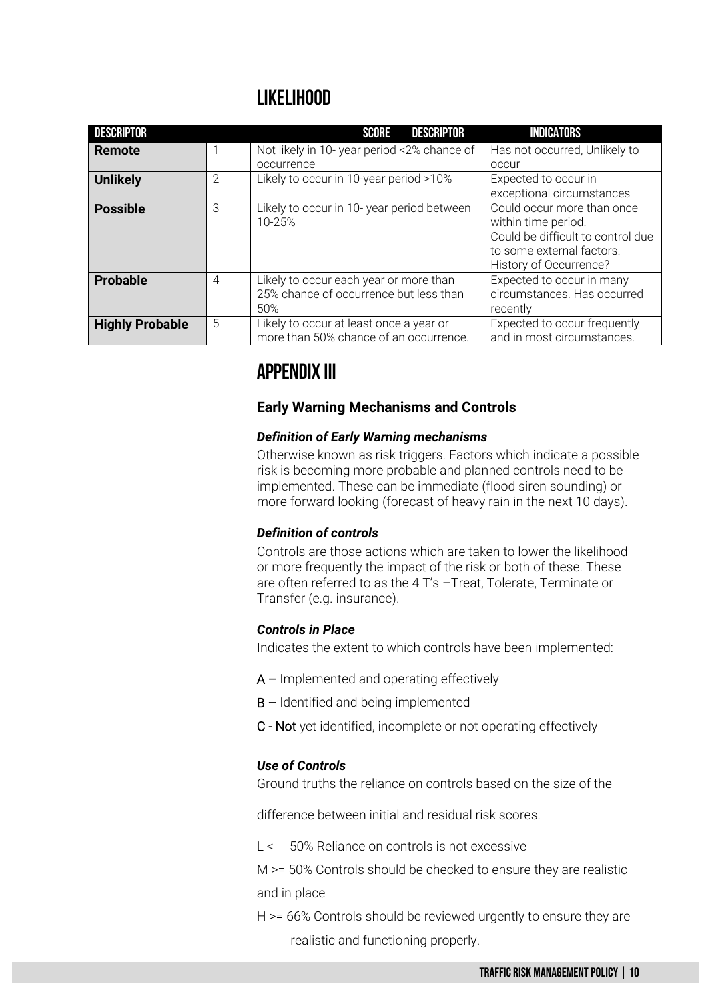### **LikelIhood**

| <b>DESCRIPTOR</b>      |                | DESCRIPTOR<br><b>SCORE</b>                                                              | <b>INDICATORS</b>                                                                                                                             |
|------------------------|----------------|-----------------------------------------------------------------------------------------|-----------------------------------------------------------------------------------------------------------------------------------------------|
| <b>Remote</b>          |                | Not likely in 10-year period <2% chance of<br>occurrence                                | Has not occurred, Unlikely to<br>OCCUL                                                                                                        |
| <b>Unlikely</b>        | $\mathcal{P}$  | Likely to occur in 10-year period >10%                                                  | Expected to occur in<br>exceptional circumstances                                                                                             |
| <b>Possible</b>        | 3              | Likely to occur in 10- year period between<br>10-25%                                    | Could occur more than once<br>within time period.<br>Could be difficult to control due<br>to some external factors.<br>History of Occurrence? |
| <b>Probable</b>        | $\overline{4}$ | Likely to occur each year or more than<br>25% chance of occurrence but less than<br>50% | Expected to occur in many<br>circumstances. Has occurred<br>recently                                                                          |
| <b>Highly Probable</b> | 5              | Likely to occur at least once a year or<br>more than 50% chance of an occurrence.       | Expected to occur frequently<br>and in most circumstances.                                                                                    |

## **Appendix III**

### **Early Warning Mechanisms and Controls**

#### *Definition of Early Warning mechanisms*

Otherwise known as risk triggers. Factors which indicate a possible risk is becoming more probable and planned controls need to be implemented. These can be immediate (flood siren sounding) or more forward looking (forecast of heavy rain in the next 10 days).

#### *Definition of controls*

Controls are those actions which are taken to lower the likelihood or more frequently the impact of the risk or both of these. These are often referred to as the 4 T's –Treat, Tolerate, Terminate or Transfer (e.g. insurance).

#### *Controls in Place*

Indicates the extent to which controls have been implemented:

- $A$  Implemented and operating effectively
- B Identified and being implemented
- C Not yet identified, incomplete or not operating effectively

#### *Use of Controls*

Ground truths the reliance on controls based on the size of the

difference between initial and residual risk scores:

L < 50% Reliance on controls is not excessive

M >= 50% Controls should be checked to ensure they are realistic and in place

H >= 66% Controls should be reviewed urgently to ensure they are realistic and functioning properly.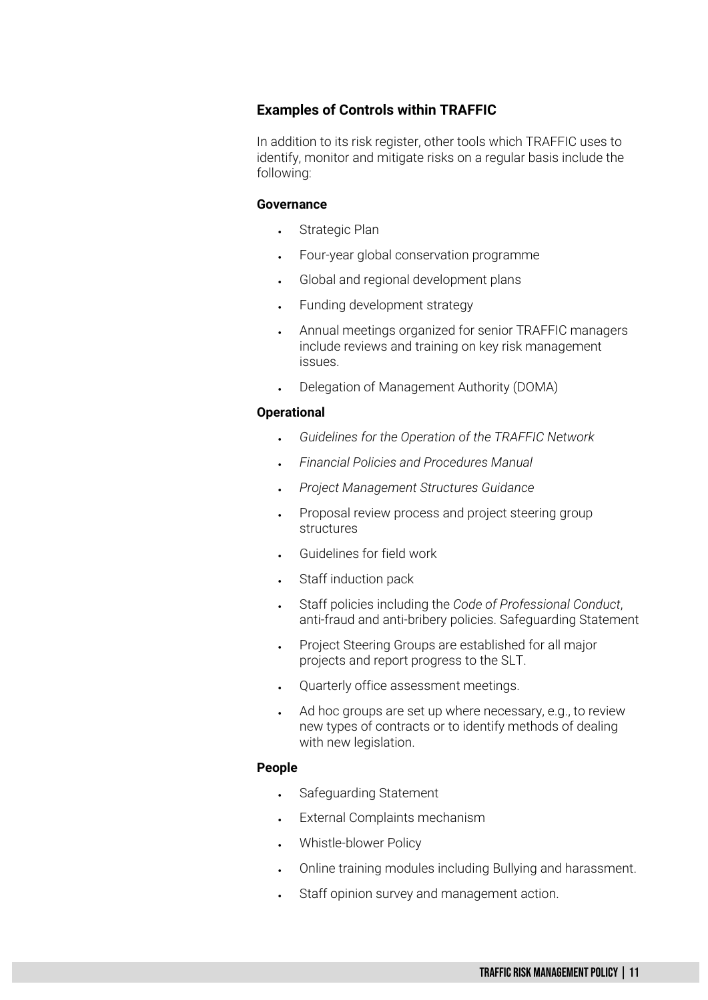#### **Examples of Controls within TRAFFIC**

In addition to its risk register, other tools which TRAFFIC uses to identify, monitor and mitigate risks on a regular basis include the following:

#### **Governance**

- Strategic Plan
- Four-year global conservation programme
- Global and regional development plans
- Funding development strategy
- Annual meetings organized for senior TRAFFIC managers include reviews and training on key risk management issues.
- Delegation of Management Authority (DOMA)

#### **Operational**

- *Guidelines for the Operation of the TRAFFIC Network*
- *Financial Policies and Procedures Manual*
- *Project Management Structures Guidance*
- Proposal review process and project steering group structures
- Guidelines for field work
- Staff induction pack
- Staff policies including the *Code of Professional Conduct*, anti-fraud and anti-bribery policies. Safeguarding Statement
- Project Steering Groups are established for all major projects and report progress to the SLT.
- Quarterly office assessment meetings.
- Ad hoc groups are set up where necessary, e.g., to review new types of contracts or to identify methods of dealing with new legislation.

#### **People**

- Safeguarding Statement
- External Complaints mechanism
- Whistle-blower Policy
- Online training modules including Bullying and harassment.
- Staff opinion survey and management action.